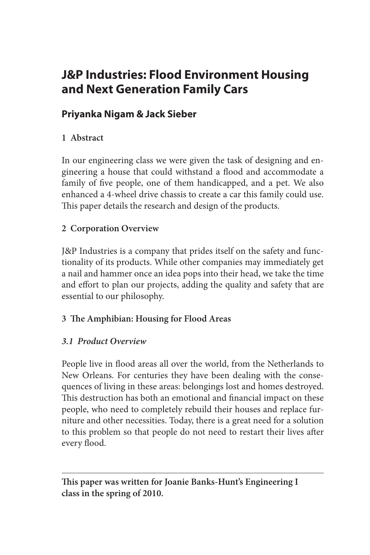# **J&P Industries: Flood Environment Housing and Next Generation Family Cars**

# **Priyanka Nigam & Jack Sieber**

# **1 Abstract**

In our engineering class we were given the task of designing and engineering a house that could withstand a flood and accommodate a family of five people, one of them handicapped, and a pet. We also enhanced a 4-wheel drive chassis to create a car this family could use. This paper details the research and design of the products.

# **2 Corporation Overview**

J&P Industries is a company that prides itself on the safety and functionality of its products. While other companies may immediately get a nail and hammer once an idea pops into their head, we take the time and effort to plan our projects, adding the quality and safety that are essential to our philosophy.

# **3 The Amphibian: Housing for Flood Areas**

# *3.1 Product Overview*

People live in flood areas all over the world, from the Netherlands to New Orleans. For centuries they have been dealing with the consequences of living in these areas: belongings lost and homes destroyed. This destruction has both an emotional and financial impact on these people, who need to completely rebuild their houses and replace furniture and other necessities. Today, there is a great need for a solution to this problem so that people do not need to restart their lives after every flood.

**This paper was written for Joanie Banks-Hunt's Engineering I class in the spring of 2010.**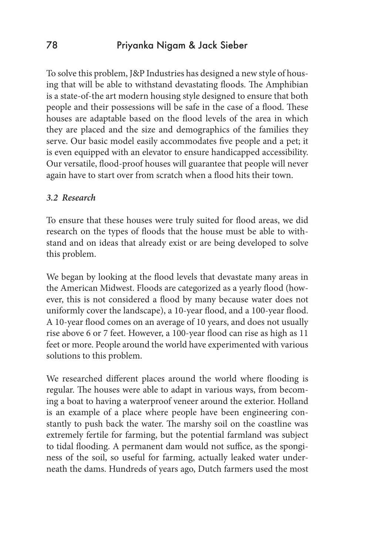To solve this problem, J&P Industries has designed a new style of housing that will be able to withstand devastating floods. The Amphibian is a state-of-the art modern housing style designed to ensure that both people and their possessions will be safe in the case of a flood. These houses are adaptable based on the flood levels of the area in which they are placed and the size and demographics of the families they serve. Our basic model easily accommodates five people and a pet; it is even equipped with an elevator to ensure handicapped accessibility. Our versatile, flood-proof houses will guarantee that people will never again have to start over from scratch when a flood hits their town.

### *3.2 Research*

To ensure that these houses were truly suited for flood areas, we did research on the types of floods that the house must be able to withstand and on ideas that already exist or are being developed to solve this problem.

We began by looking at the flood levels that devastate many areas in the American Midwest. Floods are categorized as a yearly flood (however, this is not considered a flood by many because water does not uniformly cover the landscape), a 10-year flood, and a 100-year flood. A 10-year flood comes on an average of 10 years, and does not usually rise above 6 or 7 feet. However, a 100-year flood can rise as high as 11 feet or more. People around the world have experimented with various solutions to this problem.

We researched different places around the world where flooding is regular. The houses were able to adapt in various ways, from becoming a boat to having a waterproof veneer around the exterior. Holland is an example of a place where people have been engineering constantly to push back the water. The marshy soil on the coastline was extremely fertile for farming, but the potential farmland was subject to tidal flooding. A permanent dam would not suffice, as the sponginess of the soil, so useful for farming, actually leaked water underneath the dams. Hundreds of years ago, Dutch farmers used the most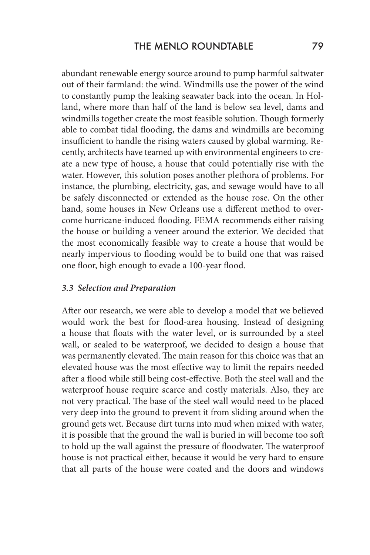abundant renewable energy source around to pump harmful saltwater out of their farmland: the wind. Windmills use the power of the wind to constantly pump the leaking seawater back into the ocean. In Holland, where more than half of the land is below sea level, dams and windmills together create the most feasible solution. Though formerly able to combat tidal flooding, the dams and windmills are becoming insufficient to handle the rising waters caused by global warming. Recently, architects have teamed up with environmental engineers to create a new type of house, a house that could potentially rise with the water. However, this solution poses another plethora of problems. For instance, the plumbing, electricity, gas, and sewage would have to all be safely disconnected or extended as the house rose. On the other hand, some houses in New Orleans use a different method to overcome hurricane-induced flooding. FEMA recommends either raising the house or building a veneer around the exterior. We decided that the most economically feasible way to create a house that would be nearly impervious to flooding would be to build one that was raised one floor, high enough to evade a 100-year flood.

#### *3.3 Selection and Preparation*

After our research, we were able to develop a model that we believed would work the best for flood-area housing. Instead of designing a house that floats with the water level, or is surrounded by a steel wall, or sealed to be waterproof, we decided to design a house that was permanently elevated. The main reason for this choice was that an elevated house was the most effective way to limit the repairs needed after a flood while still being cost-effective. Both the steel wall and the waterproof house require scarce and costly materials. Also, they are not very practical. The base of the steel wall would need to be placed very deep into the ground to prevent it from sliding around when the ground gets wet. Because dirt turns into mud when mixed with water, it is possible that the ground the wall is buried in will become too soft to hold up the wall against the pressure of floodwater. The waterproof house is not practical either, because it would be very hard to ensure that all parts of the house were coated and the doors and windows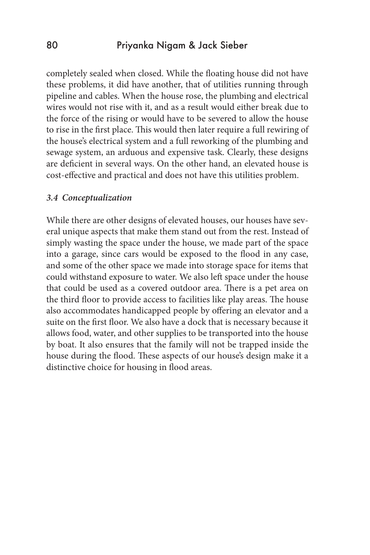completely sealed when closed. While the floating house did not have these problems, it did have another, that of utilities running through pipeline and cables. When the house rose, the plumbing and electrical wires would not rise with it, and as a result would either break due to the force of the rising or would have to be severed to allow the house to rise in the first place. This would then later require a full rewiring of the house's electrical system and a full reworking of the plumbing and sewage system, an arduous and expensive task. Clearly, these designs are deficient in several ways. On the other hand, an elevated house is cost-effective and practical and does not have this utilities problem.

#### *3.4 Conceptualization*

While there are other designs of elevated houses, our houses have several unique aspects that make them stand out from the rest. Instead of simply wasting the space under the house, we made part of the space into a garage, since cars would be exposed to the flood in any case, and some of the other space we made into storage space for items that could withstand exposure to water. We also left space under the house that could be used as a covered outdoor area. There is a pet area on the third floor to provide access to facilities like play areas. The house also accommodates handicapped people by offering an elevator and a suite on the first floor. We also have a dock that is necessary because it allows food, water, and other supplies to be transported into the house by boat. It also ensures that the family will not be trapped inside the house during the flood. These aspects of our house's design make it a distinctive choice for housing in flood areas.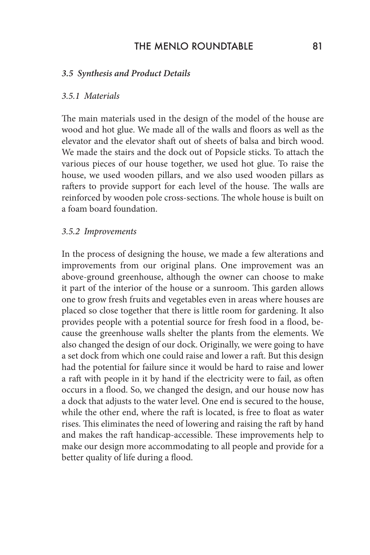### THE MENIO ROUNDTABLE 81

#### *3.5 Synthesis and Product Details*

#### *3.5.1 Materials*

The main materials used in the design of the model of the house are wood and hot glue. We made all of the walls and floors as well as the elevator and the elevator shaft out of sheets of balsa and birch wood. We made the stairs and the dock out of Popsicle sticks. To attach the various pieces of our house together, we used hot glue. To raise the house, we used wooden pillars, and we also used wooden pillars as rafters to provide support for each level of the house. The walls are reinforced by wooden pole cross-sections. The whole house is built on a foam board foundation.

#### *3.5.2 Improvements*

In the process of designing the house, we made a few alterations and improvements from our original plans. One improvement was an above-ground greenhouse, although the owner can choose to make it part of the interior of the house or a sunroom. This garden allows one to grow fresh fruits and vegetables even in areas where houses are placed so close together that there is little room for gardening. It also provides people with a potential source for fresh food in a flood, because the greenhouse walls shelter the plants from the elements. We also changed the design of our dock. Originally, we were going to have a set dock from which one could raise and lower a raft. But this design had the potential for failure since it would be hard to raise and lower a raft with people in it by hand if the electricity were to fail, as often occurs in a flood. So, we changed the design, and our house now has a dock that adjusts to the water level. One end is secured to the house, while the other end, where the raft is located, is free to float as water rises. This eliminates the need of lowering and raising the raft by hand and makes the raft handicap-accessible. These improvements help to make our design more accommodating to all people and provide for a better quality of life during a flood.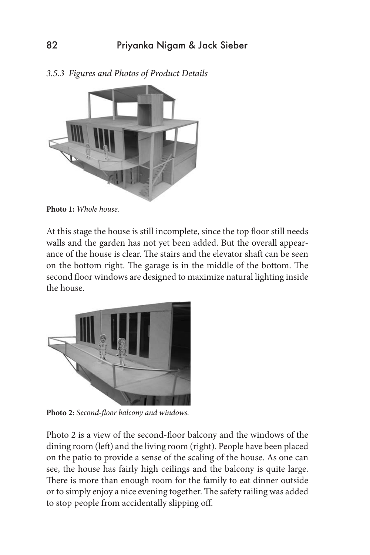

## *3.5.3 Figures and Photos of Product Details*

**Photo 1:** *Whole house.*

At this stage the house is still incomplete, since the top floor still needs walls and the garden has not yet been added. But the overall appearance of the house is clear. The stairs and the elevator shaft can be seen on the bottom right. The garage is in the middle of the bottom. The second floor windows are designed to maximize natural lighting inside the house.



**Photo 2:** *Second-floor balcony and windows.*

Photo 2 is a view of the second-floor balcony and the windows of the dining room (left) and the living room (right). People have been placed on the patio to provide a sense of the scaling of the house. As one can see, the house has fairly high ceilings and the balcony is quite large. There is more than enough room for the family to eat dinner outside or to simply enjoy a nice evening together. The safety railing was added to stop people from accidentally slipping off.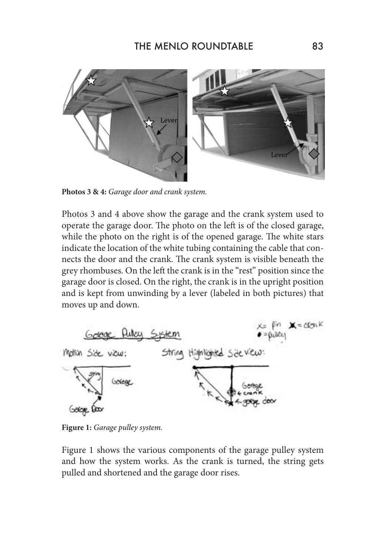

**Photos 3 & 4:** *Garage door and crank system.* 

Photos 3 and 4 above show the garage and the crank system used to operate the garage door. The photo on the left is of the closed garage, while the photo on the right is of the opened garage. The white stars indicate the location of the white tubing containing the cable that connects the door and the crank. The crank system is visible beneath the grey rhombuses. On the left the crank is in the "rest" position since the garage door is closed. On the right, the crank is in the upright position and is kept from unwinding by a lever (labeled in both pictures) that moves up and down.



**Figure 1:** *Garage pulley system.*

Figure 1 shows the various components of the garage pulley system and how the system works. As the crank is turned, the string gets pulled and shortened and the garage door rises.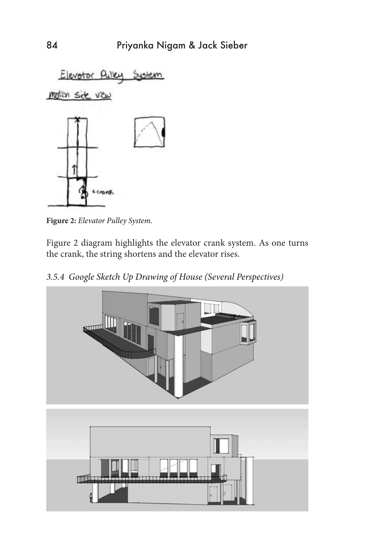

**Figure 2:** *Elevator Pulley System.*

Figure 2 diagram highlights the elevator crank system. As one turns the crank, the string shortens and the elevator rises.

*3.5.4 Google Sketch Up Drawing of House (Several Perspectives)*

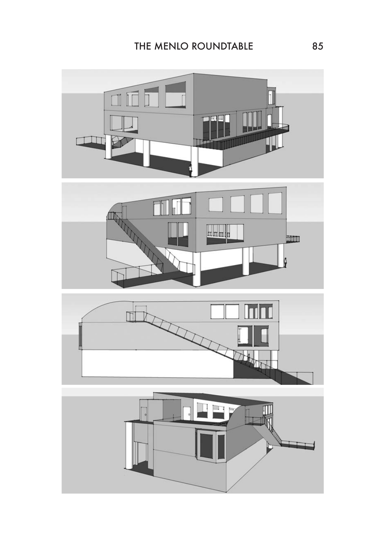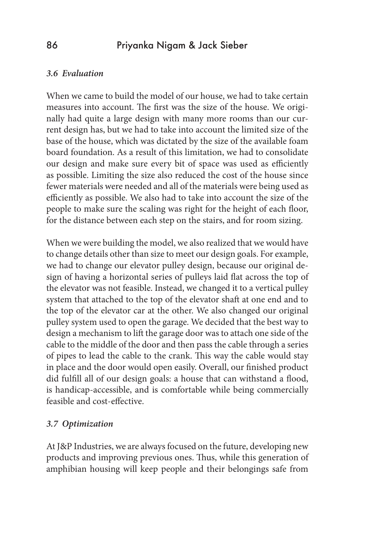### *3.6 Evaluation*

When we came to build the model of our house, we had to take certain measures into account. The first was the size of the house. We originally had quite a large design with many more rooms than our current design has, but we had to take into account the limited size of the base of the house, which was dictated by the size of the available foam board foundation. As a result of this limitation, we had to consolidate our design and make sure every bit of space was used as efficiently as possible. Limiting the size also reduced the cost of the house since fewer materials were needed and all of the materials were being used as efficiently as possible. We also had to take into account the size of the people to make sure the scaling was right for the height of each floor, for the distance between each step on the stairs, and for room sizing.

When we were building the model, we also realized that we would have to change details other than size to meet our design goals. For example, we had to change our elevator pulley design, because our original design of having a horizontal series of pulleys laid flat across the top of the elevator was not feasible. Instead, we changed it to a vertical pulley system that attached to the top of the elevator shaft at one end and to the top of the elevator car at the other. We also changed our original pulley system used to open the garage. We decided that the best way to design a mechanism to lift the garage door was to attach one side of the cable to the middle of the door and then pass the cable through a series of pipes to lead the cable to the crank. This way the cable would stay in place and the door would open easily. Overall, our finished product did fulfill all of our design goals: a house that can withstand a flood, is handicap-accessible, and is comfortable while being commercially feasible and cost-effective.

### *3.7 Optimization*

At J&P Industries, we are always focused on the future, developing new products and improving previous ones. Thus, while this generation of amphibian housing will keep people and their belongings safe from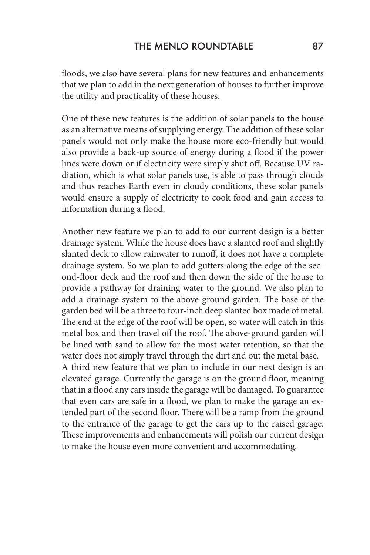floods, we also have several plans for new features and enhancements that we plan to add in the next generation of houses to further improve the utility and practicality of these houses.

One of these new features is the addition of solar panels to the house as an alternative means of supplying energy. The addition of these solar panels would not only make the house more eco-friendly but would also provide a back-up source of energy during a flood if the power lines were down or if electricity were simply shut off. Because UV radiation, which is what solar panels use, is able to pass through clouds and thus reaches Earth even in cloudy conditions, these solar panels would ensure a supply of electricity to cook food and gain access to information during a flood.

Another new feature we plan to add to our current design is a better drainage system. While the house does have a slanted roof and slightly slanted deck to allow rainwater to runoff, it does not have a complete drainage system. So we plan to add gutters along the edge of the second-floor deck and the roof and then down the side of the house to provide a pathway for draining water to the ground. We also plan to add a drainage system to the above-ground garden. The base of the garden bed will be a three to four-inch deep slanted box made of metal. The end at the edge of the roof will be open, so water will catch in this metal box and then travel off the roof. The above-ground garden will be lined with sand to allow for the most water retention, so that the water does not simply travel through the dirt and out the metal base. A third new feature that we plan to include in our next design is an elevated garage. Currently the garage is on the ground floor, meaning that in a flood any cars inside the garage will be damaged. To guarantee that even cars are safe in a flood, we plan to make the garage an extended part of the second floor. There will be a ramp from the ground to the entrance of the garage to get the cars up to the raised garage. These improvements and enhancements will polish our current design to make the house even more convenient and accommodating.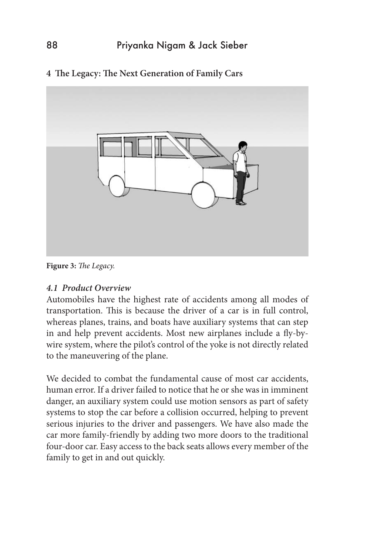

**4 The Legacy: The Next Generation of Family Cars**



### *4.1 Product Overview*

Automobiles have the highest rate of accidents among all modes of transportation. This is because the driver of a car is in full control, whereas planes, trains, and boats have auxiliary systems that can step in and help prevent accidents. Most new airplanes include a fly-bywire system, where the pilot's control of the yoke is not directly related to the maneuvering of the plane.

We decided to combat the fundamental cause of most car accidents, human error. If a driver failed to notice that he or she was in imminent danger, an auxiliary system could use motion sensors as part of safety systems to stop the car before a collision occurred, helping to prevent serious injuries to the driver and passengers. We have also made the car more family-friendly by adding two more doors to the traditional four-door car. Easy access to the back seats allows every member of the family to get in and out quickly.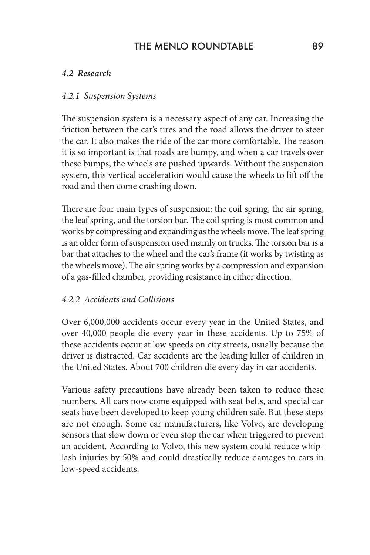# THE MENIO ROUNDTABLE 89

### *4.2 Research*

#### *4.2.1 Suspension Systems*

The suspension system is a necessary aspect of any car. Increasing the friction between the car's tires and the road allows the driver to steer the car. It also makes the ride of the car more comfortable. The reason it is so important is that roads are bumpy, and when a car travels over these bumps, the wheels are pushed upwards. Without the suspension system, this vertical acceleration would cause the wheels to lift off the road and then come crashing down.

There are four main types of suspension: the coil spring, the air spring, the leaf spring, and the torsion bar. The coil spring is most common and works by compressing and expanding as the wheels move. The leaf spring is an older form of suspension used mainly on trucks. The torsion bar is a bar that attaches to the wheel and the car's frame (it works by twisting as the wheels move). The air spring works by a compression and expansion of a gas-filled chamber, providing resistance in either direction.

#### *4.2.2 Accidents and Collisions*

Over 6,000,000 accidents occur every year in the United States, and over 40,000 people die every year in these accidents. Up to 75% of these accidents occur at low speeds on city streets, usually because the driver is distracted. Car accidents are the leading killer of children in the United States. About 700 children die every day in car accidents.

Various safety precautions have already been taken to reduce these numbers. All cars now come equipped with seat belts, and special car seats have been developed to keep young children safe. But these steps are not enough. Some car manufacturers, like Volvo, are developing sensors that slow down or even stop the car when triggered to prevent an accident. According to Volvo, this new system could reduce whiplash injuries by 50% and could drastically reduce damages to cars in low-speed accidents.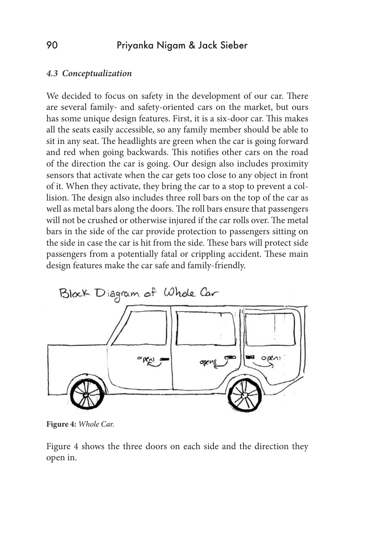### 90 Priyanka Nigam & Jack Sieber

#### *4.3 Conceptualization*

We decided to focus on safety in the development of our car. There are several family- and safety-oriented cars on the market, but ours has some unique design features. First, it is a six-door car. This makes all the seats easily accessible, so any family member should be able to sit in any seat. The headlights are green when the car is going forward and red when going backwards. This notifies other cars on the road of the direction the car is going. Our design also includes proximity sensors that activate when the car gets too close to any object in front of it. When they activate, they bring the car to a stop to prevent a collision. The design also includes three roll bars on the top of the car as well as metal bars along the doors. The roll bars ensure that passengers will not be crushed or otherwise injured if the car rolls over. The metal bars in the side of the car provide protection to passengers sitting on the side in case the car is hit from the side. These bars will protect side passengers from a potentially fatal or crippling accident. These main design features make the car safe and family-friendly.



**Figure 4:** *Whole Car.*

Figure 4 shows the three doors on each side and the direction they open in.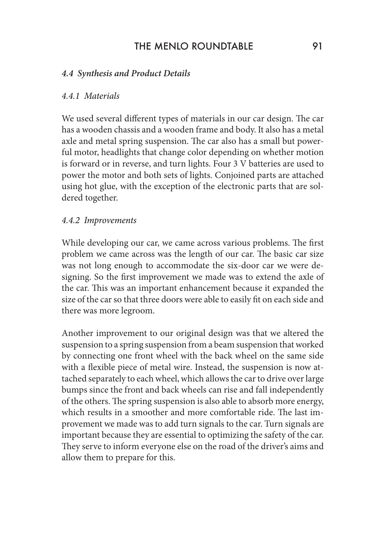# THE MENIO ROUNDTABLE 91

### *4.4 Synthesis and Product Details*

#### *4.4.1 Materials*

We used several different types of materials in our car design. The car has a wooden chassis and a wooden frame and body. It also has a metal axle and metal spring suspension. The car also has a small but powerful motor, headlights that change color depending on whether motion is forward or in reverse, and turn lights. Four 3 V batteries are used to power the motor and both sets of lights. Conjoined parts are attached using hot glue, with the exception of the electronic parts that are soldered together.

#### *4.4.2 Improvements*

While developing our car, we came across various problems. The first problem we came across was the length of our car. The basic car size was not long enough to accommodate the six-door car we were designing. So the first improvement we made was to extend the axle of the car. This was an important enhancement because it expanded the size of the car so that three doors were able to easily fit on each side and there was more legroom.

Another improvement to our original design was that we altered the suspension to a spring suspension from a beam suspension that worked by connecting one front wheel with the back wheel on the same side with a flexible piece of metal wire. Instead, the suspension is now attached separately to each wheel, which allows the car to drive over large bumps since the front and back wheels can rise and fall independently of the others. The spring suspension is also able to absorb more energy, which results in a smoother and more comfortable ride. The last improvement we made was to add turn signals to the car. Turn signals are important because they are essential to optimizing the safety of the car. They serve to inform everyone else on the road of the driver's aims and allow them to prepare for this.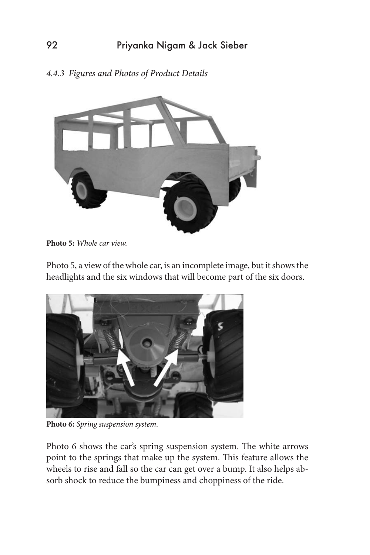



**Photo 5:** *Whole car view.*

Photo 5, a view of the whole car, is an incomplete image, but it shows the headlights and the six windows that will become part of the six doors.



**Photo 6:** *Spring suspension system.*

Photo 6 shows the car's spring suspension system. The white arrows point to the springs that make up the system. This feature allows the wheels to rise and fall so the car can get over a bump. It also helps absorb shock to reduce the bumpiness and choppiness of the ride.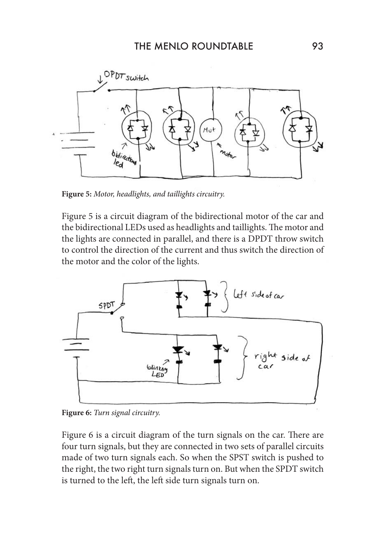

**Figure 5:** *Motor, headlights, and taillights circuitry.*

Figure 5 is a circuit diagram of the bidirectional motor of the car and the bidirectional LEDs used as headlights and taillights. The motor and the lights are connected in parallel, and there is a DPDT throw switch to control the direction of the current and thus switch the direction of the motor and the color of the lights.



**Figure 6:** *Turn signal circuitry.*

Figure 6 is a circuit diagram of the turn signals on the car. There are four turn signals, but they are connected in two sets of parallel circuits made of two turn signals each. So when the SPST switch is pushed to the right, the two right turn signals turn on. But when the SPDT switch is turned to the left, the left side turn signals turn on.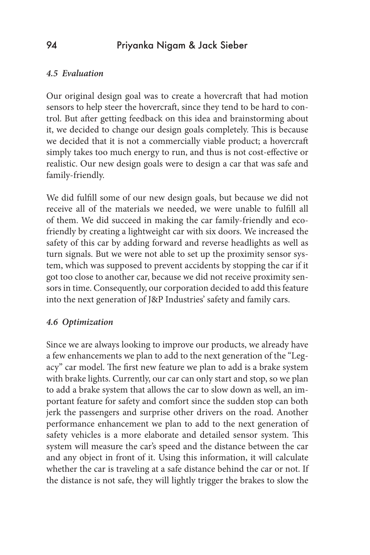## *4.5 Evaluation*

Our original design goal was to create a hovercraft that had motion sensors to help steer the hovercraft, since they tend to be hard to control. But after getting feedback on this idea and brainstorming about it, we decided to change our design goals completely. This is because we decided that it is not a commercially viable product; a hovercraft simply takes too much energy to run, and thus is not cost-effective or realistic. Our new design goals were to design a car that was safe and family-friendly.

We did fulfill some of our new design goals, but because we did not receive all of the materials we needed, we were unable to fulfill all of them. We did succeed in making the car family-friendly and ecofriendly by creating a lightweight car with six doors. We increased the safety of this car by adding forward and reverse headlights as well as turn signals. But we were not able to set up the proximity sensor system, which was supposed to prevent accidents by stopping the car if it got too close to another car, because we did not receive proximity sensors in time. Consequently, our corporation decided to add this feature into the next generation of J&P Industries' safety and family cars.

# *4.6 Optimization*

Since we are always looking to improve our products, we already have a few enhancements we plan to add to the next generation of the "Legacy" car model. The first new feature we plan to add is a brake system with brake lights. Currently, our car can only start and stop, so we plan to add a brake system that allows the car to slow down as well, an important feature for safety and comfort since the sudden stop can both jerk the passengers and surprise other drivers on the road. Another performance enhancement we plan to add to the next generation of safety vehicles is a more elaborate and detailed sensor system. This system will measure the car's speed and the distance between the car and any object in front of it. Using this information, it will calculate whether the car is traveling at a safe distance behind the car or not. If the distance is not safe, they will lightly trigger the brakes to slow the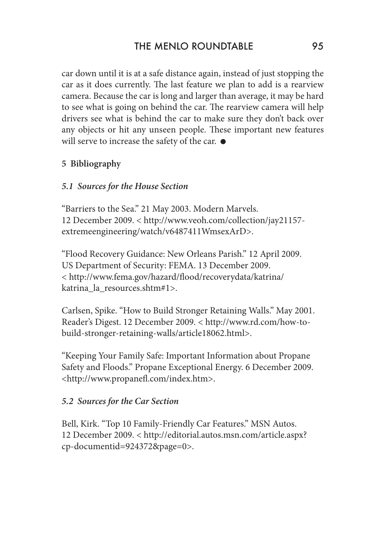# THE MENLO ROUNDTABLE 95

car down until it is at a safe distance again, instead of just stopping the car as it does currently. The last feature we plan to add is a rearview camera. Because the car is long and larger than average, it may be hard to see what is going on behind the car. The rearview camera will help drivers see what is behind the car to make sure they don't back over any objects or hit any unseen people. These important new features will serve to increase the safety of the car.  $\bullet$ 

### **5 Bibliography**

### *5.1 Sources for the House Section*

"Barriers to the Sea." 21 May 2003. Modern Marvels. 12 December 2009. < http://www.veoh.com/collection/jay21157 extremeengineering/watch/v6487411WmsexArD>.

"Flood Recovery Guidance: New Orleans Parish." 12 April 2009. US Department of Security: FEMA. 13 December 2009. < http://www.fema.gov/hazard/flood/recoverydata/katrina/ katrina\_la\_resources.shtm#1>.

Carlsen, Spike. "How to Build Stronger Retaining Walls." May 2001. Reader's Digest. 12 December 2009. < http://www.rd.com/how-tobuild-stronger-retaining-walls/article18062.html>.

"Keeping Your Family Safe: Important Information about Propane Safety and Floods." Propane Exceptional Energy. 6 December 2009. <http://www.propanefl.com/index.htm>.

### *5.2 Sources for the Car Section*

Bell, Kirk. "Top 10 Family-Friendly Car Features." MSN Autos. 12 December 2009. < http://editorial.autos.msn.com/article.aspx? cp-documentid=924372&page=0>.